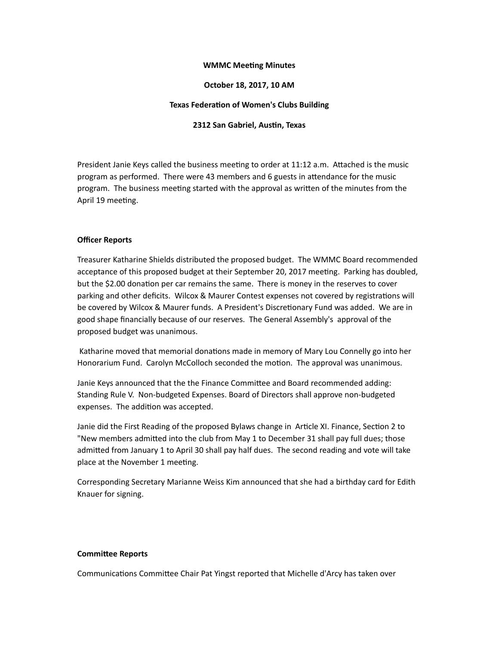## **WMMC Meeting Minutes**

## **October 18, 2017, 10 AM**

#### **Texas Federation of Women's Clubs Building**

#### **2312 San Gabriel, Austin, Texas**

President Janie Keys called the business meeting to order at 11:12 a.m. Attached is the music program as performed. There were 43 members and 6 guests in attendance for the music program. The business meeting started with the approval as written of the minutes from the April 19 meeting.

#### **Officer Reports**

Treasurer Katharine Shields distributed the proposed budget. The WMMC Board recommended acceptance of this proposed budget at their September 20, 2017 meeting. Parking has doubled, but the \$2.00 donation per car remains the same. There is money in the reserves to cover parking and other deficits. Wilcox & Maurer Contest expenses not covered by registrations will be covered by Wilcox & Maurer funds. A President's Discretionary Fund was added. We are in good shape financially because of our reserves. The General Assembly's approval of the proposed budget was unanimous.

Katharine moved that memorial donations made in memory of Mary Lou Connelly go into her Honorarium Fund. Carolyn McColloch seconded the motion. The approval was unanimous.

Janie Keys announced that the the Finance Committee and Board recommended adding: Standing Rule V. Non-budgeted Expenses. Board of Directors shall approve non-budgeted expenses. The addition was accepted.

Janie did the First Reading of the proposed Bylaws change in Article XI. Finance, Section 2 to "New members admitted into the club from May 1 to December 31 shall pay full dues; those admitted from January 1 to April 30 shall pay half dues. The second reading and vote will take place at the November 1 meeting.

Corresponding Secretary Marianne Weiss Kim announced that she had a birthday card for Edith Knauer for signing.

#### **Committee Reports**

Communications Committee Chair Pat Yingst reported that Michelle d'Arcy has taken over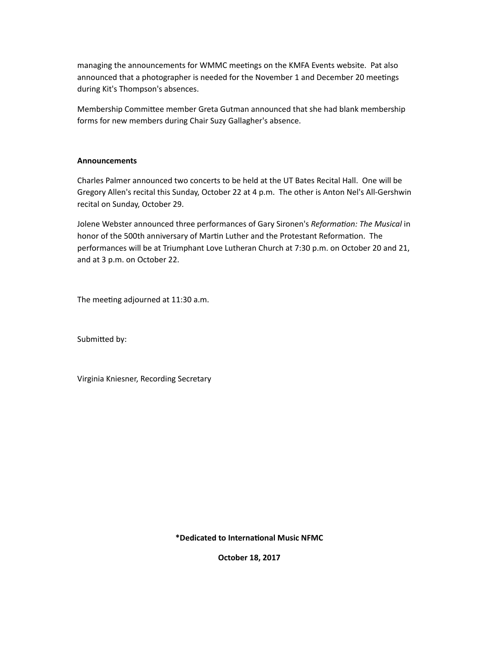managing the announcements for WMMC meetings on the KMFA Events website. Pat also announced that a photographer is needed for the November 1 and December 20 meetings during Kit's Thompson's absences.

Membership Committee member Greta Gutman announced that she had blank membership forms for new members during Chair Suzy Gallagher's absence.

## **Announcements**

Charles Palmer announced two concerts to be held at the UT Bates Recital Hall. One will be Gregory Allen's recital this Sunday, October 22 at 4 p.m. The other is Anton Nel's All-Gershwin recital on Sunday, October 29.

Jolene Webster announced three performances of Gary Sironen's *Reformation: The Musical* in honor of the 500th anniversary of Martin Luther and the Protestant Reformation. The performances will be at Triumphant Love Lutheran Church at 7:30 p.m. on October 20 and 21, and at 3 p.m. on October 22.

The meeting adjourned at 11:30 a.m.

Submitted by:

Virginia Kniesner, Recording Secretary

**\*Dedicated to Interna&onal Music NFMC**

**October 18, 2017**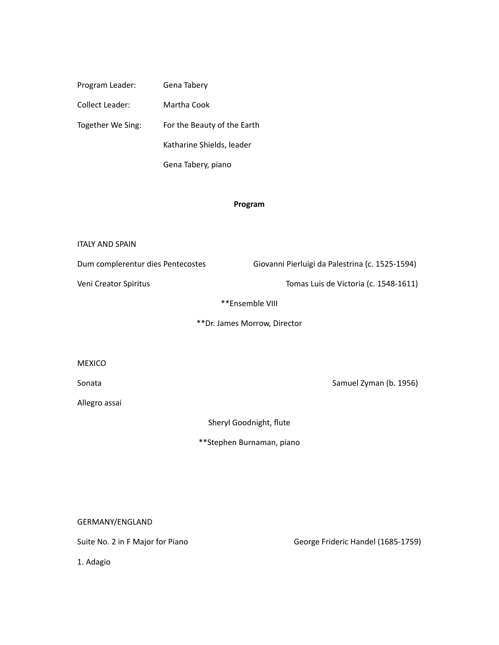Program Leader: Gena Tabery Collect Leader: Martha Cook Together We Sing: For the Beauty of the Earth Katharine Shields, leader Gena Tabery, piano

# **Program**

| <b>ITALY AND SPAIN</b>            |                                                 |
|-----------------------------------|-------------------------------------------------|
| Dum complerentur dies Pentecostes | Giovanni Pierluigi da Palestrina (c. 1525-1594) |
| Veni Creator Spiritus             | Tomas Luis de Victoria (c. 1548-1611)           |
| **Ensemble VIII                   |                                                 |
| ** Dr. James Morrow, Director     |                                                 |
|                                   |                                                 |
| <b>MEXICO</b>                     |                                                 |
| Sonata                            | Samuel Zyman (b. 1956)                          |
| Allegro assai                     |                                                 |
| Sheryl Goodnight, flute           |                                                 |
| **Stephen Burnaman, piano         |                                                 |
|                                   |                                                 |

GERMANY/ENGLAND

1. Adagio

Suite No. 2 in F Major for Piano **building the Secorge Contract Contract Contract** George Frideric Handel (1685-1759)